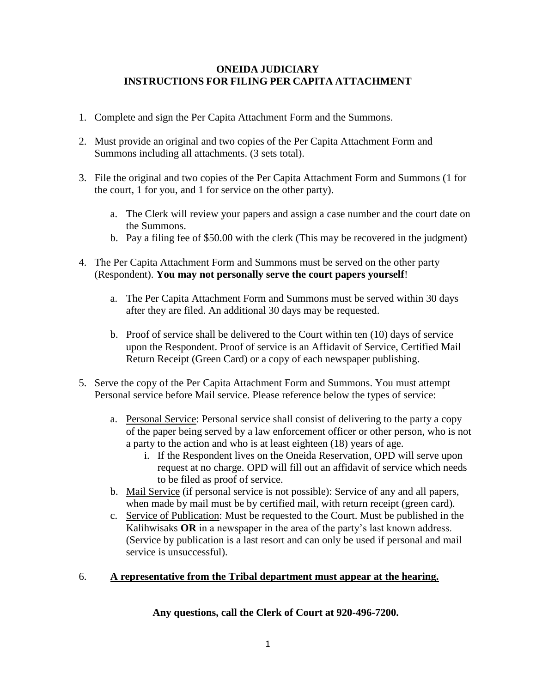## **ONEIDA JUDICIARY INSTRUCTIONS FOR FILING PER CAPITA ATTACHMENT**

- 1. Complete and sign the Per Capita Attachment Form and the Summons.
- 2. Must provide an original and two copies of the Per Capita Attachment Form and Summons including all attachments. (3 sets total).
- 3. File the original and two copies of the Per Capita Attachment Form and Summons (1 for the court, 1 for you, and 1 for service on the other party).
	- a. The Clerk will review your papers and assign a case number and the court date on the Summons.
	- b. Pay a filing fee of \$50.00 with the clerk (This may be recovered in the judgment)
- 4. The Per Capita Attachment Form and Summons must be served on the other party (Respondent). **You may not personally serve the court papers yourself**!
	- a. The Per Capita Attachment Form and Summons must be served within 30 days after they are filed. An additional 30 days may be requested.
	- b. Proof of service shall be delivered to the Court within ten (10) days of service upon the Respondent. Proof of service is an Affidavit of Service, Certified Mail Return Receipt (Green Card) or a copy of each newspaper publishing.
- 5. Serve the copy of the Per Capita Attachment Form and Summons. You must attempt Personal service before Mail service. Please reference below the types of service:
	- a. Personal Service: Personal service shall consist of delivering to the party a copy of the paper being served by a law enforcement officer or other person, who is not a party to the action and who is at least eighteen (18) years of age.
		- i. If the Respondent lives on the Oneida Reservation, OPD will serve upon request at no charge. OPD will fill out an affidavit of service which needs to be filed as proof of service.
	- b. Mail Service (if personal service is not possible): Service of any and all papers, when made by mail must be by certified mail, with return receipt (green card).
	- c. Service of Publication: Must be requested to the Court. Must be published in the Kalihwisaks **OR** in a newspaper in the area of the party's last known address. (Service by publication is a last resort and can only be used if personal and mail service is unsuccessful).

### 6. **A representative from the Tribal department must appear at the hearing.**

**Any questions, call the Clerk of Court at 920-496-7200.**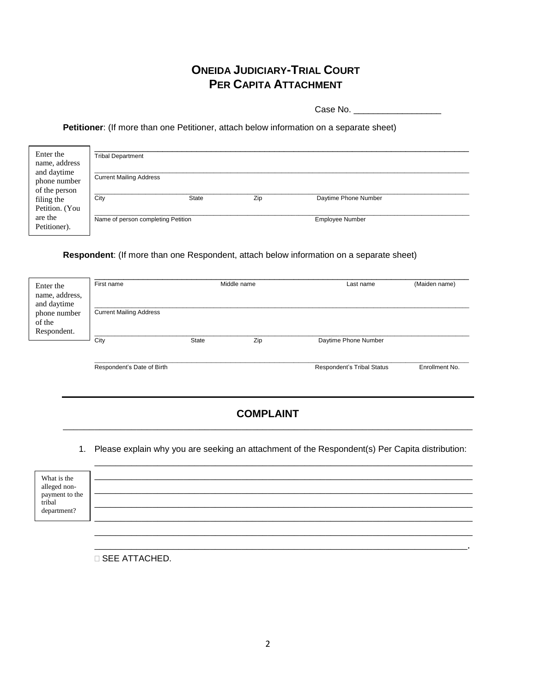# **ONEIDA JUDICIARY-TRIAL COURT PER CAPITA ATTACHMENT**

Case No. \_\_\_\_\_\_\_\_\_\_\_\_\_\_\_\_\_\_

**Petitioner**: (If more than one Petitioner, attach below information on a separate sheet)

| Enter the<br>name, address<br>and daytime<br>phone number<br>of the person | <b>Tribal Department</b><br><b>Current Mailing Address</b> |              |     |                        |  |  |
|----------------------------------------------------------------------------|------------------------------------------------------------|--------------|-----|------------------------|--|--|
| filing the<br>Petition. (You                                               | City                                                       | <b>State</b> | Zip | Daytime Phone Number   |  |  |
| are the<br>Petitioner).                                                    | Name of person completing Petition                         |              |     | <b>Employee Number</b> |  |  |

#### **Respondent**: (If more than one Respondent, attach below information on a separate sheet)

| Enter the<br>name, address,           | Middle name<br>First name      |              | (Maiden name)<br>Last name |                            |                |
|---------------------------------------|--------------------------------|--------------|----------------------------|----------------------------|----------------|
| and daytime<br>phone number<br>of the | <b>Current Mailing Address</b> |              |                            |                            |                |
| Respondent.                           | City                           | <b>State</b> | Zip                        | Daytime Phone Number       |                |
|                                       | Respondent's Date of Birth     |              |                            | Respondent's Tribal Status | Enrollment No. |

## **COMPLAINT** \_\_\_\_\_\_\_\_\_\_\_\_\_\_\_\_\_\_\_\_\_\_\_\_\_\_\_\_\_\_\_\_\_\_\_\_\_\_\_\_\_\_\_\_\_\_\_\_\_\_\_\_\_\_\_\_\_\_\_\_\_\_\_\_\_\_\_\_\_\_\_\_\_\_\_\_\_\_

1. Please explain why you are seeking an attachment of the Respondent(s) Per Capita distribution:

\_\_\_\_\_\_\_\_\_\_\_\_\_\_\_\_\_\_\_\_\_\_\_\_\_\_\_\_\_\_\_\_\_\_\_\_\_\_\_\_\_\_\_\_\_\_\_\_\_\_\_\_\_\_\_\_\_\_\_\_\_\_\_\_\_\_\_\_\_\_\_\_

\_\_\_\_\_\_\_\_\_\_\_\_\_\_\_\_\_\_\_\_\_\_\_\_\_\_\_\_\_\_\_\_\_\_\_\_\_\_\_\_\_\_\_\_\_\_\_\_\_\_\_\_\_\_\_\_\_\_\_\_\_\_\_\_\_\_\_\_\_\_\_.

| What is the<br>alleged non-<br>payment to the<br>tribal<br>department? |  |
|------------------------------------------------------------------------|--|
|                                                                        |  |

SEE ATTACHED.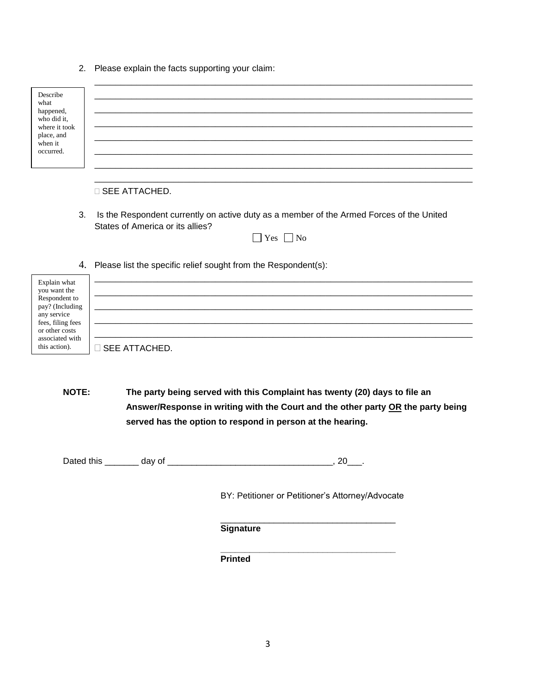2. Please explain the facts supporting your claim:

| Describe<br>what<br>happened,<br>who did it.<br>where it took<br>place, and<br>when it<br>occurred. |                                                                                                                              |
|-----------------------------------------------------------------------------------------------------|------------------------------------------------------------------------------------------------------------------------------|
|                                                                                                     |                                                                                                                              |
|                                                                                                     | $\Box$ SEE ATTACHED.                                                                                                         |
| 3.                                                                                                  | Is the Respondent currently on active duty as a member of the Armed Forces of the United<br>States of America or its allies? |

| $\sim$ | ง∩ |
|--------|----|

4. Please list the specific relief sought from the Respondent(s):

| Explain what<br>you want the        |                      |
|-------------------------------------|----------------------|
| Respondent to<br>pay? (Including    |                      |
| any service                         |                      |
| fees, filing fees<br>or other costs |                      |
| associated with<br>this action).    | <b>SEE ATTACHED.</b> |

**NOTE: The party being served with this Complaint has twenty (20) days to file an Answer/Response in writing with the Court and the other party OR the party being served has the option to respond in person at the hearing.**

Dated this \_\_\_\_\_\_\_ day of \_\_\_\_\_\_\_\_\_\_\_\_\_\_\_\_\_\_\_\_\_\_\_\_\_\_\_\_\_\_\_\_\_\_, 20\_\_\_.

BY: Petitioner or Petitioner's Attorney/Advocate

\_\_\_\_\_\_\_\_\_\_\_\_\_\_\_\_\_\_\_\_\_\_\_\_\_\_\_\_\_\_\_\_\_\_\_\_

**Signature**

 **\_\_\_\_\_\_\_\_\_\_\_\_\_\_\_\_\_\_\_\_\_\_\_\_\_\_\_\_\_\_\_\_\_\_\_\_ Printed**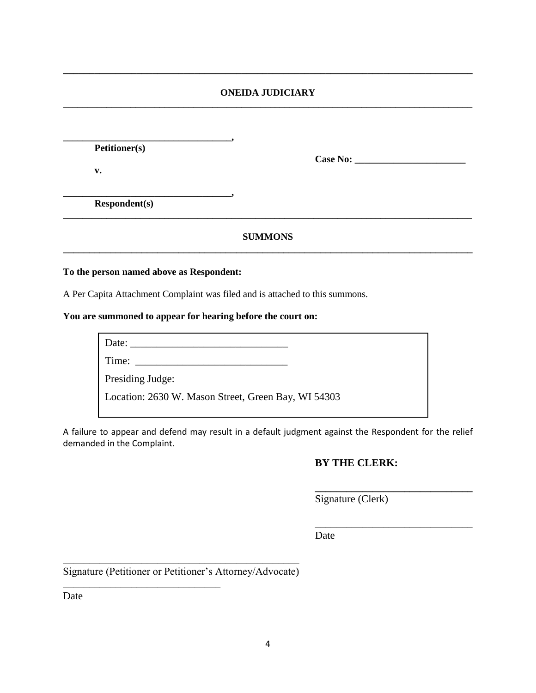#### **ONEIDA JUDICIARY \_\_\_\_\_\_\_\_\_\_\_\_\_\_\_\_\_\_\_\_\_\_\_\_\_\_\_\_\_\_\_\_\_\_\_\_\_\_\_\_\_\_\_\_\_\_\_\_\_\_\_\_\_\_\_\_\_\_\_\_\_\_\_\_\_\_\_\_\_\_\_\_\_\_\_\_\_\_\_\_\_\_\_\_\_**

**\_\_\_\_\_\_\_\_\_\_\_\_\_\_\_\_\_\_\_\_\_\_\_\_\_\_\_\_\_\_\_\_\_\_\_\_\_\_\_\_\_\_\_\_\_\_\_\_\_\_\_\_\_\_\_\_\_\_\_\_\_\_\_\_\_\_\_\_\_\_\_\_\_\_\_\_\_\_**

**Petitioner(s)**

**v.**

**Case No: \_\_\_\_\_\_\_\_\_\_\_\_\_\_\_\_\_\_\_\_\_\_\_**

**Respondent(s)**

#### **SUMMONS \_\_\_\_\_\_\_\_\_\_\_\_\_\_\_\_\_\_\_\_\_\_\_\_\_\_\_\_\_\_\_\_\_\_\_\_\_\_\_\_\_\_\_\_\_\_\_\_\_\_\_\_\_\_\_\_\_\_\_\_\_\_\_\_\_\_\_\_\_\_\_\_\_\_\_\_\_\_**

**\_\_\_\_\_\_\_\_\_\_\_\_\_\_\_\_\_\_\_\_\_\_\_\_\_\_\_\_\_\_\_\_\_\_\_\_\_\_\_\_\_\_\_\_\_\_\_\_\_\_\_\_\_\_\_\_\_\_\_\_\_\_\_\_\_\_\_\_\_\_\_\_\_\_\_\_\_\_\_\_\_\_\_\_\_**

#### **To the person named above as Respondent:**

**\_\_\_\_\_\_\_\_\_\_\_\_\_\_\_\_\_\_\_\_\_\_\_\_\_\_\_\_\_\_\_\_\_\_\_,** 

A Per Capita Attachment Complaint was filed and is attached to this summons.

**\_\_\_\_\_\_\_\_\_\_\_\_\_\_\_\_\_\_\_\_\_\_\_\_\_\_\_\_\_\_\_\_\_\_\_,**

#### **You are summoned to appear for hearing before the court on:**

Date: \_\_\_\_\_\_\_\_\_\_\_\_\_\_\_\_\_\_\_\_\_\_\_\_\_\_\_\_\_\_ Time: \_\_\_\_\_\_\_\_\_\_\_\_\_\_\_\_\_\_\_\_\_\_\_\_\_\_\_\_\_

Presiding Judge:

Location: 2630 W. Mason Street, Green Bay, WI 54303

A failure to appear and defend may result in a default judgment against the Respondent for the relief demanded in the Complaint.

#### **BY THE CLERK:**

**\_\_\_\_\_\_\_\_\_\_\_\_\_\_\_\_\_\_\_\_\_\_\_\_\_\_\_\_\_\_**

\_\_\_\_\_\_\_\_\_\_\_\_\_\_\_\_\_\_\_\_\_\_\_\_\_\_\_\_\_\_

Signature (Clerk)

Date

\_\_\_\_\_\_\_\_\_\_\_\_\_\_\_\_\_\_\_\_\_\_\_\_\_\_\_\_\_\_\_\_\_\_\_\_\_\_\_\_\_\_\_\_\_ Signature (Petitioner or Petitioner's Attorney/Advocate)

\_\_\_\_\_\_\_\_\_\_\_\_\_\_\_\_\_\_\_\_\_\_\_\_\_\_\_\_\_\_

Date